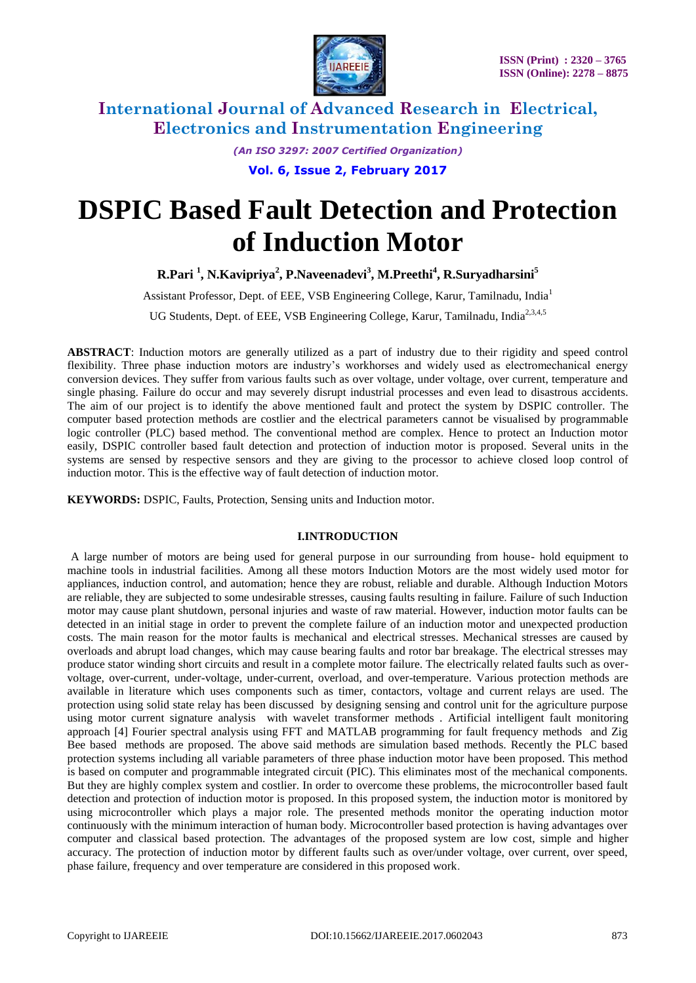

> *(An ISO 3297: 2007 Certified Organization)* **Vol. 6, Issue 2, February 2017**

# **DSPIC Based Fault Detection and Protection of Induction Motor**

**R.Pari <sup>1</sup> , N.Kavipriya<sup>2</sup> , P.Naveenadevi<sup>3</sup> , M.Preethi<sup>4</sup> , R.Suryadharsini<sup>5</sup>**

Assistant Professor, Dept. of EEE, VSB Engineering College, Karur, Tamilnadu, India<sup>1</sup>

UG Students, Dept. of EEE, VSB Engineering College, Karur, Tamilnadu, India<sup>2,3,4,5</sup>

**ABSTRACT**: Induction motors are generally utilized as a part of industry due to their rigidity and speed control flexibility. Three phase induction motors are industry's workhorses and widely used as electromechanical energy conversion devices. They suffer from various faults such as over voltage, under voltage, over current, temperature and single phasing. Failure do occur and may severely disrupt industrial processes and even lead to disastrous accidents. The aim of our project is to identify the above mentioned fault and protect the system by DSPIC controller. The computer based protection methods are costlier and the electrical parameters cannot be visualised by programmable logic controller (PLC) based method. The conventional method are complex. Hence to protect an Induction motor easily, DSPIC controller based fault detection and protection of induction motor is proposed. Several units in the systems are sensed by respective sensors and they are giving to the processor to achieve closed loop control of induction motor. This is the effective way of fault detection of induction motor.

**KEYWORDS:** DSPIC, Faults, Protection, Sensing units and Induction motor.

#### **I.INTRODUCTION**

A large number of motors are being used for general purpose in our surrounding from house- hold equipment to machine tools in industrial facilities. Among all these motors Induction Motors are the most widely used motor for appliances, induction control, and automation; hence they are robust, reliable and durable. Although Induction Motors are reliable, they are subjected to some undesirable stresses, causing faults resulting in failure. Failure of such Induction motor may cause plant shutdown, personal injuries and waste of raw material. However, induction motor faults can be detected in an initial stage in order to prevent the complete failure of an induction motor and unexpected production costs. The main reason for the motor faults is mechanical and electrical stresses. Mechanical stresses are caused by overloads and abrupt load changes, which may cause bearing faults and rotor bar breakage. The electrical stresses may produce stator winding short circuits and result in a complete motor failure. The electrically related faults such as overvoltage, over-current, under-voltage, under-current, overload, and over-temperature. Various protection methods are available in literature which uses components such as timer, contactors, voltage and current relays are used. The protection using solid state relay has been discussed by designing sensing and control unit for the agriculture purpose using motor current signature analysis with wavelet transformer methods . Artificial intelligent fault monitoring approach [4] Fourier spectral analysis using FFT and MATLAB programming for fault frequency methods and Zig Bee based methods are proposed. The above said methods are simulation based methods. Recently the PLC based protection systems including all variable parameters of three phase induction motor have been proposed. This method is based on computer and programmable integrated circuit (PIC). This eliminates most of the mechanical components. But they are highly complex system and costlier. In order to overcome these problems, the microcontroller based fault detection and protection of induction motor is proposed. In this proposed system, the induction motor is monitored by using microcontroller which plays a major role. The presented methods monitor the operating induction motor continuously with the minimum interaction of human body. Microcontroller based protection is having advantages over computer and classical based protection. The advantages of the proposed system are low cost, simple and higher accuracy. The protection of induction motor by different faults such as over/under voltage, over current, over speed, phase failure, frequency and over temperature are considered in this proposed work.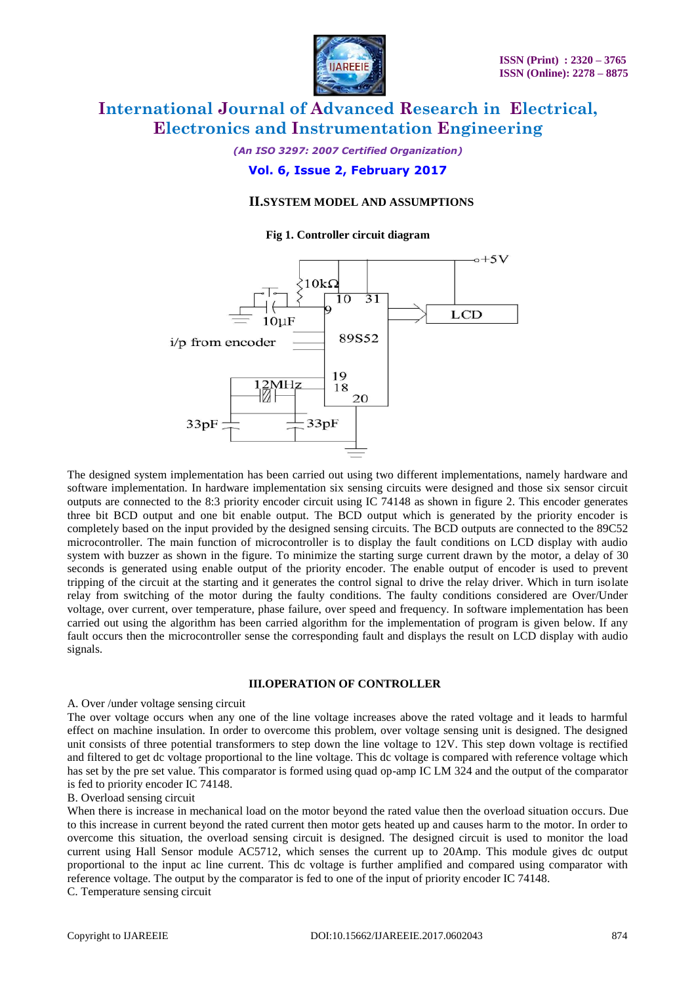

*(An ISO 3297: 2007 Certified Organization)*

### **Vol. 6, Issue 2, February 2017**

#### **II.SYSTEM MODEL AND ASSUMPTIONS**

#### **Fig 1. Controller circuit diagram**



The designed system implementation has been carried out using two different implementations, namely hardware and software implementation. In hardware implementation six sensing circuits were designed and those six sensor circuit outputs are connected to the 8:3 priority encoder circuit using IC 74148 as shown in figure 2. This encoder generates three bit BCD output and one bit enable output. The BCD output which is generated by the priority encoder is completely based on the input provided by the designed sensing circuits. The BCD outputs are connected to the 89C52 microcontroller. The main function of microcontroller is to display the fault conditions on LCD display with audio system with buzzer as shown in the figure. To minimize the starting surge current drawn by the motor, a delay of 30 seconds is generated using enable output of the priority encoder. The enable output of encoder is used to prevent tripping of the circuit at the starting and it generates the control signal to drive the relay driver. Which in turn isolate relay from switching of the motor during the faulty conditions. The faulty conditions considered are Over/Under voltage, over current, over temperature, phase failure, over speed and frequency. In software implementation has been carried out using the algorithm has been carried algorithm for the implementation of program is given below. If any fault occurs then the microcontroller sense the corresponding fault and displays the result on LCD display with audio signals.

#### **III.OPERATION OF CONTROLLER**

#### A. Over /under voltage sensing circuit

The over voltage occurs when any one of the line voltage increases above the rated voltage and it leads to harmful effect on machine insulation. In order to overcome this problem, over voltage sensing unit is designed. The designed unit consists of three potential transformers to step down the line voltage to 12V. This step down voltage is rectified and filtered to get dc voltage proportional to the line voltage. This dc voltage is compared with reference voltage which has set by the pre set value. This comparator is formed using quad op-amp IC LM 324 and the output of the comparator is fed to priority encoder IC 74148.

#### B. Overload sensing circuit

When there is increase in mechanical load on the motor beyond the rated value then the overload situation occurs. Due to this increase in current beyond the rated current then motor gets heated up and causes harm to the motor. In order to overcome this situation, the overload sensing circuit is designed. The designed circuit is used to monitor the load current using Hall Sensor module AC5712, which senses the current up to 20Amp. This module gives dc output proportional to the input ac line current. This dc voltage is further amplified and compared using comparator with reference voltage. The output by the comparator is fed to one of the input of priority encoder IC 74148. C. Temperature sensing circuit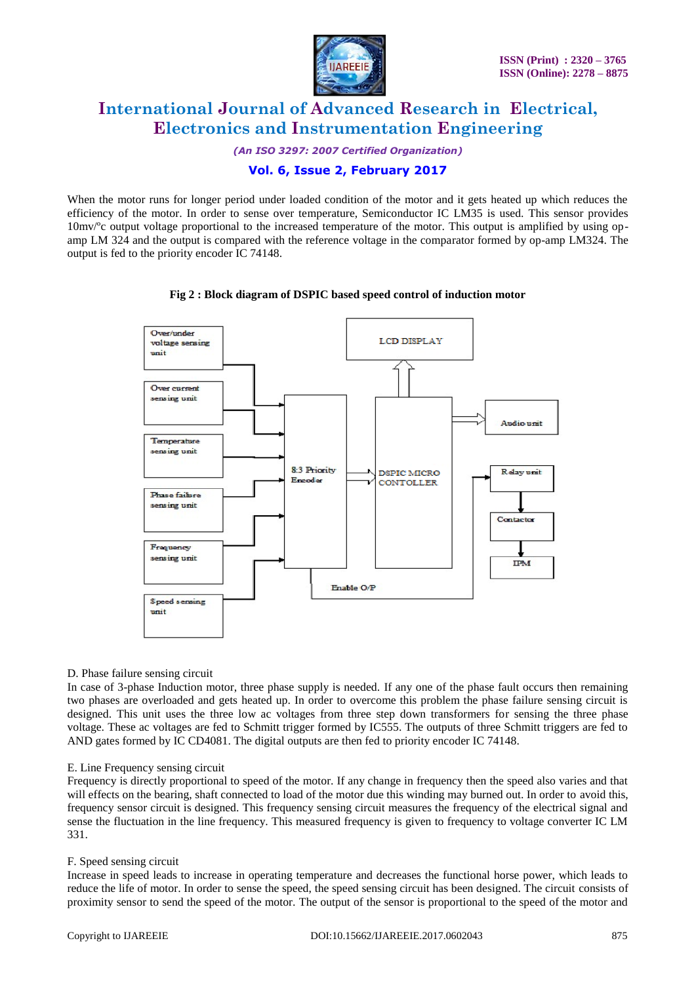

*(An ISO 3297: 2007 Certified Organization)*

### **Vol. 6, Issue 2, February 2017**

When the motor runs for longer period under loaded condition of the motor and it gets heated up which reduces the efficiency of the motor. In order to sense over temperature, Semiconductor IC LM35 is used. This sensor provides 10mv/ºc output voltage proportional to the increased temperature of the motor. This output is amplified by using opamp LM 324 and the output is compared with the reference voltage in the comparator formed by op-amp LM324. The output is fed to the priority encoder IC 74148.

#### **Fig 2 : Block diagram of DSPIC based speed control of induction motor**



#### D. Phase failure sensing circuit

In case of 3-phase Induction motor, three phase supply is needed. If any one of the phase fault occurs then remaining two phases are overloaded and gets heated up. In order to overcome this problem the phase failure sensing circuit is designed. This unit uses the three low ac voltages from three step down transformers for sensing the three phase voltage. These ac voltages are fed to Schmitt trigger formed by IC555. The outputs of three Schmitt triggers are fed to AND gates formed by IC CD4081. The digital outputs are then fed to priority encoder IC 74148.

#### E. Line Frequency sensing circuit

Frequency is directly proportional to speed of the motor. If any change in frequency then the speed also varies and that will effects on the bearing, shaft connected to load of the motor due this winding may burned out. In order to avoid this, frequency sensor circuit is designed. This frequency sensing circuit measures the frequency of the electrical signal and sense the fluctuation in the line frequency. This measured frequency is given to frequency to voltage converter IC LM 331.

#### F. Speed sensing circuit

Increase in speed leads to increase in operating temperature and decreases the functional horse power, which leads to reduce the life of motor. In order to sense the speed, the speed sensing circuit has been designed. The circuit consists of proximity sensor to send the speed of the motor. The output of the sensor is proportional to the speed of the motor and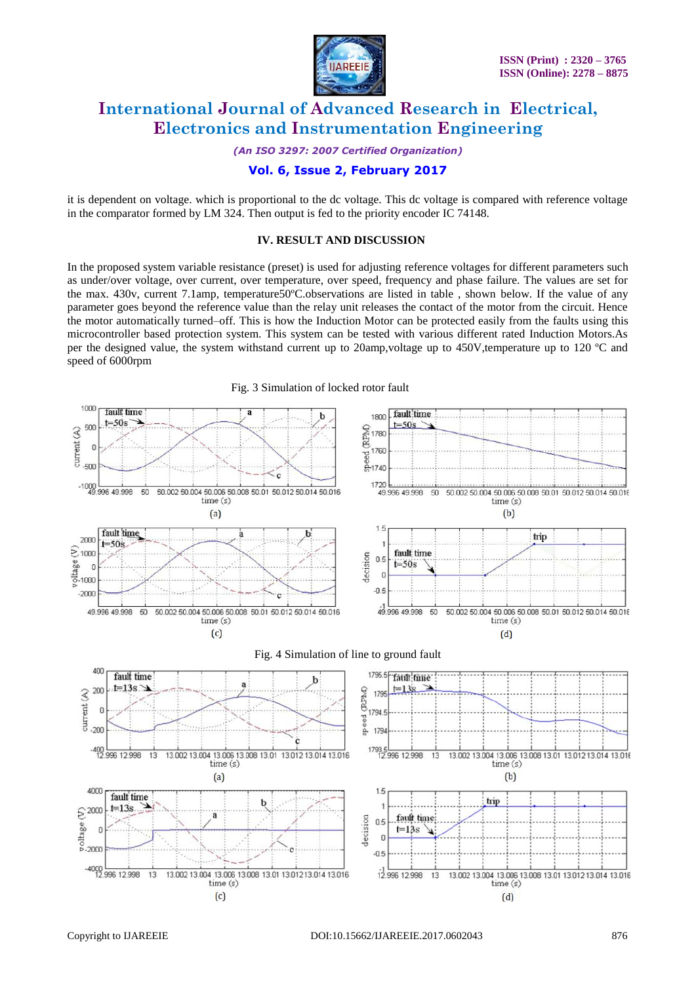

*(An ISO 3297: 2007 Certified Organization)*

### **Vol. 6, Issue 2, February 2017**

it is dependent on voltage. which is proportional to the dc voltage. This dc voltage is compared with reference voltage in the comparator formed by LM 324. Then output is fed to the priority encoder IC 74148.

#### **IV. RESULT AND DISCUSSION**

In the proposed system variable resistance (preset) is used for adjusting reference voltages for different parameters such as under/over voltage, over current, over temperature, over speed, frequency and phase failure. The values are set for the max. 430v, current 7.1amp, temperature50ºC.observations are listed in table , shown below. If the value of any parameter goes beyond the reference value than the relay unit releases the contact of the motor from the circuit. Hence the motor automatically turned–off. This is how the Induction Motor can be protected easily from the faults using this microcontroller based protection system. This system can be tested with various different rated Induction Motors.As per the designed value, the system withstand current up to 20amp,voltage up to 450V,temperature up to 120 ºC and speed of 6000rpm